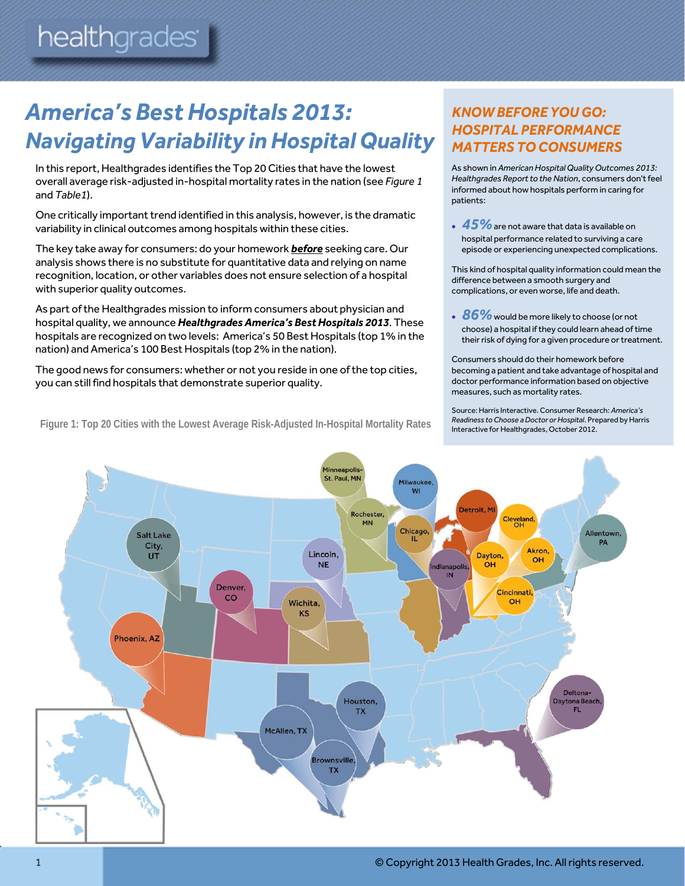# *America's Best Hospitals 2013: Navigating Variability in Hospital Quality*

In this report, Healthgrades identifies the Top 20 Cities that have the lowest overall average risk-adjusted in-hospital mortality rates in the nation (see *Figure 1* and *Table1*).

One critically important trend identified in this analysis, however, is the dramatic variability in clinical outcomes among hospitals within these cities.

The key take away for consumers: do your homework *before* seeking care. Our analysis shows there is no substitute for quantitative data and relying on name recognition, location, or other variables does not ensure selection of a hospital with superior quality outcomes.

As part of the Healthgrades mission to inform consumers about physician and hospital quality, we announce *Healthgrades America's Best Hospitals 2013*. These hospitals are recognized on two levels: America's 50 Best Hospitals (top 1% in the nation) and America's 100 Best Hospitals (top 2% in the nation).

The good news for consumers: whether or not you reside in one of the top cities, you can still find hospitals that demonstrate superior quality.

**Figure 1: Top 20 Cities with the Lowest Average Risk-Adjusted In-Hospital Mortality Rates** 

# *KNOW BEFORE YOU GO: HOSPITAL PERFORMANCE MATTERS TO CONSUMERS*

As shown in *American Hospital Quality Outcomes 2013: Healthgrades Report to the Nation*, consumers don't feel informed about how hospitals perform in caring for patients:

**45%** are not aware that data is available on hospital performance related to surviving a care episode or experiencing unexpected complications.

This kind of hospital quality information could mean the difference between a smooth surgery and complications, or even worse, life and death.

**86%** would be more likely to choose (or not choose) a hospital if they could learn ahead of time their risk of dying for a given procedure or treatment.

Consumers should do their homework before becoming a patient and take advantage of hospital and doctor performance information based on objective measures, such as mortality rates.

Source: Harris Interactive. Consumer Research: *America's Readiness to Choose a Doctor or Hospital*. Prepared by Harris Interactive for Healthgrades, October 2012.

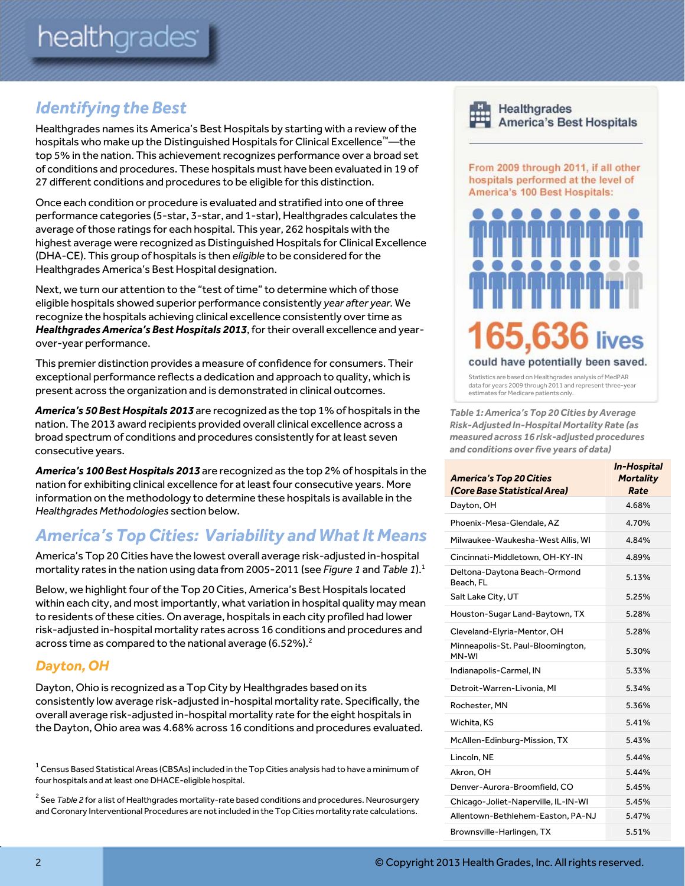# *Identifying the Best*

Healthgrades names its America's Best Hospitals by starting with a review of the hospitals who make up the Distinguished Hospitals for Clinical Excellence™—the top 5% in the nation. This achievement recognizes performance over a broad set of conditions and procedures. These hospitals must have been evaluated in 19 of 27 different conditions and procedures to be eligible for this distinction.

Once each condition or procedure is evaluated and stratified into one of three performance categories (5-star, 3-star, and 1-star), Healthgrades calculates the average of those ratings for each hospital. This year, 262 hospitals with the highest average were recognized as Distinguished Hospitals for Clinical Excellence (DHA-CE). This group of hospitals is then *eligible* to be considered for the Healthgrades America's Best Hospital designation.

Next, we turn our attention to the "test of time" to determine which of those eligible hospitals showed superior performance consistently *year after year.* We recognize the hospitals achieving clinical excellence consistently over time as *Healthgrades America's Best Hospitals 2013*, for their overall excellence and yearover-year performance.

This premier distinction provides a measure of confidence for consumers. Their exceptional performance reflects a dedication and approach to quality, which is present across the organization and is demonstrated in clinical outcomes.

*America's 50 Best Hospitals 2013* are recognized as the top 1% of hospitals in the nation. The 2013 award recipients provided overall clinical excellence across a broad spectrum of conditions and procedures consistently for at least seven consecutive years.

*America's 100 Best Hospitals 2013* are recognized as the top 2% of hospitals in the nation for exhibiting clinical excellence for at least four consecutive years. More information on the methodology to determine these hospitals is available in the *Healthgrades Methodologies* section below.

# *America's Top Cities: Variability and What It Means*

America's Top 20 Cities have the lowest overall average risk-adjusted in-hospital mortality rates in the nation using data from 2005-2011 (see *Figure 1* and *Table 1*).1

Below, we highlight four of the Top 20 Cities, America's Best Hospitals located within each city, and most importantly, what variation in hospital quality may mean to residents of these cities. On average, hospitals in each city profiled had lower risk-adjusted in-hospital mortality rates across 16 conditions and procedures and across time as compared to the national average  $(6.52\%)$ .<sup>2</sup>

## *Dayton, OH*

Dayton, Ohio is recognized as a Top City by Healthgrades based on its consistently low average risk-adjusted in-hospital mortality rate. Specifically, the overall average risk-adjusted in-hospital mortality rate for the eight hospitals in the Dayton, Ohio area was 4.68% across 16 conditions and procedures evaluated.



Healthgrades **America's Best Hospitals** 

From 2009 through 2011, if all other hospitals performed at the level of America's 100 Best Hospitals:



Statistics are based on Healthgrades analysis of MedPAR data for years 2009 through 2011 and represent three-year estimates for Medicare patients only.

*Table 1: America's Top 20 Cities by Average Risk-Adjusted In-Hospital Mortality Rate (as measured across 16 risk-adjusted procedures and conditions over five years of data)* 

| <b>America's Top 20 Cities</b><br>(Core Base Statistical Area) | <b>In-Hospital</b><br><b>Mortality</b><br>Rate |
|----------------------------------------------------------------|------------------------------------------------|
| Dayton, OH                                                     | 4.68%                                          |
| Phoenix-Mesa-Glendale, AZ                                      | 4.70%                                          |
| Milwaukee-Waukesha-West Allis, WI                              | 4.84%                                          |
| Cincinnati-Middletown, OH-KY-IN                                | 4.89%                                          |
| Deltona-Daytona Beach-Ormond<br>Beach, FL                      | 5.13%                                          |
| Salt Lake City, UT                                             | 5.25%                                          |
| Houston-Sugar Land-Baytown, TX                                 | 5.28%                                          |
| Cleveland-Elyria-Mentor, OH                                    | 5.28%                                          |
| Minneapolis-St. Paul-Bloomington,<br>MN-WI                     | 5.30%                                          |
| Indianapolis-Carmel, IN                                        | 5.33%                                          |
| Detroit-Warren-Livonia, MI                                     | 5.34%                                          |
| Rochester, MN                                                  | 5.36%                                          |
| Wichita, KS                                                    | 5.41%                                          |
| McAllen-Edinburg-Mission, TX                                   | 5.43%                                          |
| Lincoln, NE                                                    | 5.44%                                          |
| Akron, OH                                                      | 5.44%                                          |
| Denver-Aurora-Broomfield, CO                                   | 5.45%                                          |
| Chicago-Joliet-Naperville, IL-IN-WI                            | 5.45%                                          |
| Allentown-Bethlehem-Easton, PA-NJ                              | 5.47%                                          |
| Brownsville-Harlingen, TX                                      | 5.51%                                          |

 $^{\rm 1}$  Census Based Statistical Areas (CBSAs) included in the Top Cities analysis had to have a minimum of four hospitals and at least one DHACE-eligible hospital.

<sup>&</sup>lt;sup>2</sup> See *Table 2* for a list of Healthgrades mortality-rate based conditions and procedures. Neurosurgery and Coronary Interventional Procedures are not included in the Top Cities mortality rate calculations.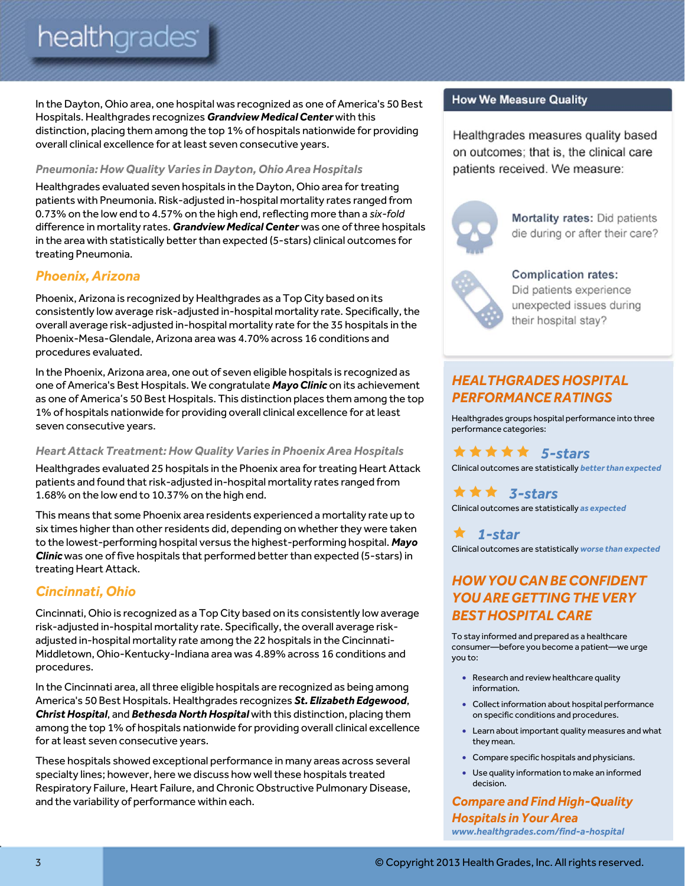In the Dayton, Ohio area, one hospital was recognized as one of America's 50 Best Hospitals. Healthgrades recognizes *Grandview Medical Center* with this distinction, placing them among the top 1% of hospitals nationwide for providing overall clinical excellence for at least seven consecutive years.

#### *Pneumonia: How Quality Varies in Dayton, Ohio Area Hospitals*

Healthgrades evaluated seven hospitals in the Dayton, Ohio area for treating patients with Pneumonia. Risk-adjusted in-hospital mortality rates ranged from 0.73% on the low end to 4.57% on the high end, reflecting more than a *six-fold* difference in mortality rates. *Grandview Medical Center* was one of three hospitals in the area with statistically better than expected (5-stars) clinical outcomes for treating Pneumonia.

## *Phoenix, Arizona*

Phoenix, Arizona is recognized by Healthgrades as a Top City based on its consistently low average risk-adjusted in-hospital mortality rate. Specifically, the overall average risk-adjusted in-hospital mortality rate for the 35 hospitals in the Phoenix-Mesa-Glendale, Arizona area was 4.70% across 16 conditions and procedures evaluated.

In the Phoenix, Arizona area, one out of seven eligible hospitals is recognized as one of America's Best Hospitals. We congratulate *Mayo Clinic* on its achievement as one of America's 50 Best Hospitals. This distinction places them among the top 1% of hospitals nationwide for providing overall clinical excellence for at least seven consecutive years.

#### *Heart Attack Treatment: How Quality Varies in Phoenix Area Hospitals*

Healthgrades evaluated 25 hospitals in the Phoenix area for treating Heart Attack patients and found that risk-adjusted in-hospital mortality rates ranged from 1.68% on the low end to 10.37% on the high end.

This means that some Phoenix area residents experienced a mortality rate up to six times higher than other residents did, depending on whether they were taken to the lowest-performing hospital versus the highest-performing hospital. *Mayo Clinic* was one of five hospitals that performed better than expected (5-stars) in treating Heart Attack.

#### *Cincinnati, Ohio*

Cincinnati, Ohio is recognized as a Top City based on its consistently low average risk-adjusted in-hospital mortality rate. Specifically, the overall average riskadjusted in-hospital mortality rate among the 22 hospitals in the Cincinnati-Middletown, Ohio-Kentucky-Indiana area was 4.89% across 16 conditions and procedures.

In the Cincinnati area, all three eligible hospitals are recognized as being among America's 50 Best Hospitals. Healthgrades recognizes *St. Elizabeth Edgewood*, *Christ Hospital*, and *Bethesda North Hospital* with this distinction, placing them among the top 1% of hospitals nationwide for providing overall clinical excellence for at least seven consecutive years.

These hospitals showed exceptional performance in many areas across several specialty lines; however, here we discuss how well these hospitals treated Respiratory Failure, Heart Failure, and Chronic Obstructive Pulmonary Disease, and the variability of performance within each.

#### **How We Measure Quality**

Healthgrades measures quality based on outcomes; that is, the clinical care patients received. We measure:



Mortality rates: Did patients die during or after their care?



**Complication rates:** Did patients experience unexpected issues during their hospital stay?

# *HEALTHGRADES HOSPITAL PERFORMANCE RATINGS*

Healthgrades groups hospital performance into three performance categories:

 *5-stars* Clinical outcomes are statistically *better than expected*

 *3-stars* Clinical outcomes are statistically *as expected*

 *1-star* Clinical outcomes are statistically *worse than expected* 

# *HOW YOU CAN BE CONFIDENT YOU ARE GETTING THE VERY BEST HOSPITAL CARE*

To stay informed and prepared as a healthcare consumer—before you become a patient—we urge you to:

- Research and review healthcare quality information.
- Collect information about hospital performance on specific conditions and procedures.
- Learn about important quality measures and what they mean.
- Compare specific hospitals and physicians.
- Use quality information to make an informed decision.

*Compare and Find High-Quality Hospitals in Your Area www.healthgrades.com/find-a-hospital*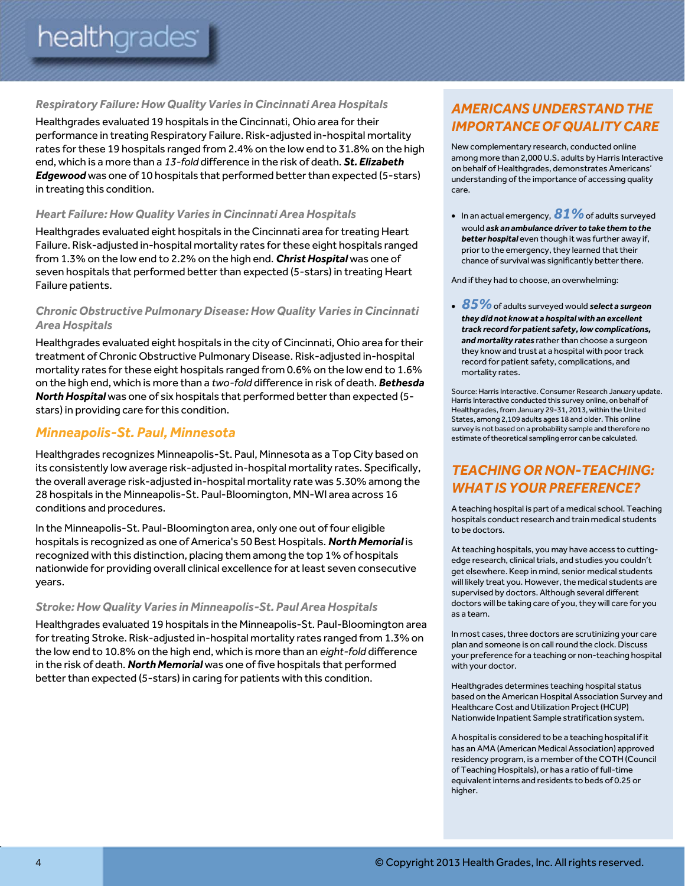#### *Respiratory Failure: How Quality Varies in Cincinnati Area Hospitals*

Healthgrades evaluated 19 hospitals in the Cincinnati, Ohio area for their performance in treating Respiratory Failure. Risk-adjusted in-hospital mortality rates for these 19 hospitals ranged from 2.4% on the low end to 31.8% on the high end, which is a more than a *13-fold* difference in the risk of death. *St. Elizabeth Edgewood* was one of 10 hospitals that performed better than expected (5-stars) in treating this condition.

#### *Heart Failure: How Quality Varies in Cincinnati Area Hospitals*

Healthgrades evaluated eight hospitals in the Cincinnati area for treating Heart Failure. Risk-adjusted in-hospital mortality rates for these eight hospitals ranged from 1.3% on the low end to 2.2% on the high end. *Christ Hospital* was one of seven hospitals that performed better than expected (5-stars) in treating Heart Failure patients.

#### *Chronic Obstructive Pulmonary Disease: How Quality Varies in Cincinnati Area Hospitals*

Healthgrades evaluated eight hospitals in the city of Cincinnati, Ohio area for their treatment of Chronic Obstructive Pulmonary Disease. Risk-adjusted in-hospital mortality rates for these eight hospitals ranged from 0.6% on the low end to 1.6% on the high end, which is more than a *two-fold* difference in risk of death. *Bethesda North Hospital* was one of six hospitals that performed better than expected (5 stars) in providing care for this condition.

#### *Minneapolis-St. Paul, Minnesota*

Healthgrades recognizes Minneapolis-St. Paul, Minnesota as a Top City based on its consistently low average risk-adjusted in-hospital mortality rates. Specifically, the overall average risk-adjusted in-hospital mortality rate was 5.30% among the 28 hospitals in the Minneapolis-St. Paul-Bloomington, MN-WI area across 16 conditions and procedures.

In the Minneapolis-St. Paul-Bloomington area, only one out of four eligible hospitals is recognized as one of America's 50 Best Hospitals. *North Memorial* is recognized with this distinction, placing them among the top 1% of hospitals nationwide for providing overall clinical excellence for at least seven consecutive years.

#### *Stroke: How Quality Varies in Minneapolis-St. Paul Area Hospitals*

Healthgrades evaluated 19 hospitals in the Minneapolis-St. Paul-Bloomington area for treating Stroke. Risk-adjusted in-hospital mortality rates ranged from 1.3% on the low end to 10.8% on the high end, which is more than an *eight-fold* difference in the risk of death. *North Memorial* was one of five hospitals that performed better than expected (5-stars) in caring for patients with this condition.

## *AMERICANS UNDERSTAND THE IMPORTANCE OF QUALITY CARE*

New complementary research, conducted online among more than 2,000 U.S. adults by Harris Interactive on behalf of Healthgrades, demonstrates Americans' understanding of the importance of accessing quality care.

• In an actual emergency, **81%** of adults surveyed would *ask an ambulance driver to take them to the better hospital* even though it was further away if, prior to the emergency, they learned that their chance of survival was significantly better there.

And if they had to choose, an overwhelming:

 *85%*of adults surveyed would *select a surgeon they did not know at a hospital with an excellent track record for patient safety, low complications, and mortality rates* rather than choose a surgeon they know and trust at a hospital with poor track record for patient safety, complications, and mortality rates.

Source: Harris Interactive. Consumer Research January update. Harris Interactive conducted this survey online, on behalf of Healthgrades, from January 29-31, 2013, within the United States, among 2,109 adults ages 18 and older. This online survey is not based on a probability sample and therefore no estimate of theoretical sampling error can be calculated.

# *TEACHING OR NON-TEACHING: WHAT IS YOUR PREFERENCE?*

A teaching hospital is part of a medical school. Teaching hospitals conduct research and train medical students to be doctors.

At teaching hospitals, you may have access to cuttingedge research, clinical trials, and studies you couldn't get elsewhere. Keep in mind, senior medical students will likely treat you. However, the medical students are supervised by doctors. Although several different doctors will be taking care of you, they will care for you as a team.

In most cases, three doctors are scrutinizing your care plan and someone is on call round the clock. Discuss your preference for a teaching or non-teaching hospital with your doctor.

Healthgrades determines teaching hospital status based on the American Hospital Association Survey and Healthcare Cost and Utilization Project (HCUP) Nationwide Inpatient Sample stratification system.

A hospital is considered to be a teaching hospital if it has an AMA (American Medical Association) approved residency program, is a member of the COTH (Council of Teaching Hospitals), or has a ratio of full-time equivalent interns and residents to beds of 0.25 or higher.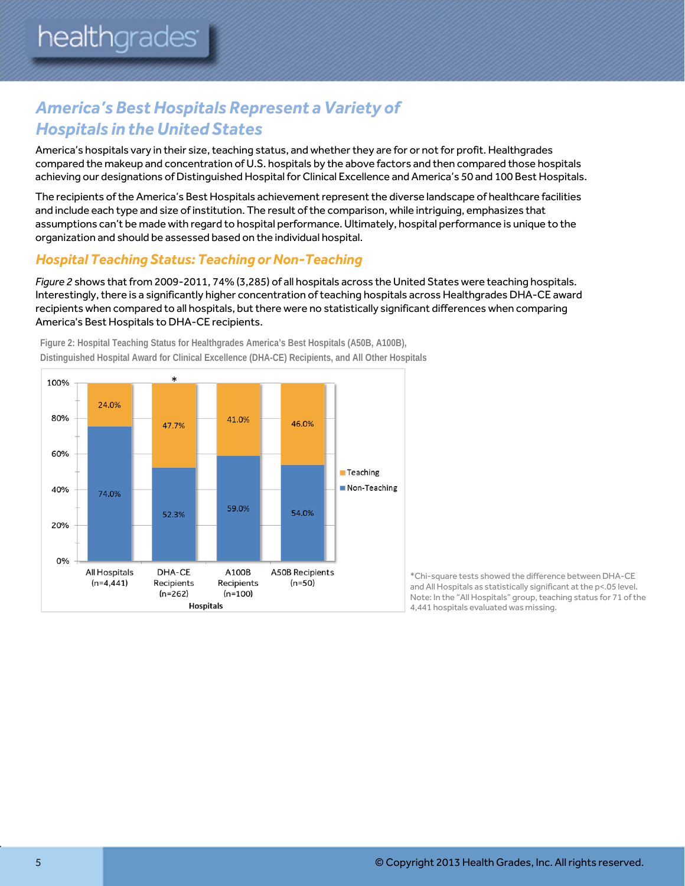# *America's Best Hospitals Represent a Variety of Hospitals in the United States*

America's hospitals vary in their size, teaching status, and whether they are for or not for profit. Healthgrades compared the makeup and concentration of U.S. hospitals by the above factors and then compared those hospitals achieving our designations of Distinguished Hospital for Clinical Excellence and America's 50 and 100 Best Hospitals.

The recipients of the America's Best Hospitals achievement represent the diverse landscape of healthcare facilities and include each type and size of institution. The result of the comparison, while intriguing, emphasizes that assumptions can't be made with regard to hospital performance. Ultimately, hospital performance is unique to the organization and should be assessed based on the individual hospital.

## *Hospital Teaching Status: Teaching or Non-Teaching*

*Figure 2* shows that from 2009-2011, 74% (3,285) of all hospitals across the United States were teaching hospitals. Interestingly, there is a significantly higher concentration of teaching hospitals across Healthgrades DHA-CE award recipients when compared to all hospitals, but there were no statistically significant differences when comparing America's Best Hospitals to DHA-CE recipients.



**Figure 2: Hospital Teaching Status for Healthgrades America's Best Hospitals (A50B, A100B), Distinguished Hospital Award for Clinical Excellence (DHA-CE) Recipients, and All Other Hospitals** 

> \*Chi-square tests showed the difference between DHA-CE and All Hospitals as statistically significant at the p<.05 level. Note: In the "All Hospitals" group, teaching status for 71 of the 4,441 hospitals evaluated was missing.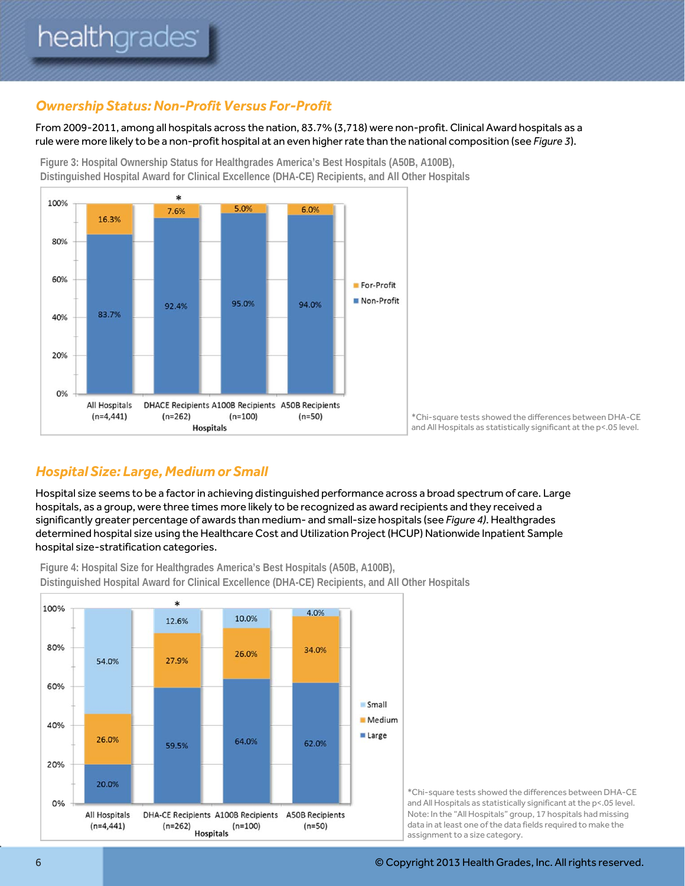## *Ownership Status: Non-Profit Versus For-Profit*

From 2009-2011, among all hospitals across the nation, 83.7% (3,718) were non-profit. Clinical Award hospitals as a rule were more likely to be a non-profit hospital at an even higher rate than the national composition (see *Figure 3*).

**Figure 3: Hospital Ownership Status for Healthgrades America's Best Hospitals (A50B, A100B), Distinguished Hospital Award for Clinical Excellence (DHA-CE) Recipients, and All Other Hospitals** 



\*Chi-square tests showed the differences between DHA-CE and All Hospitals as statistically significant at the p<.05 level.

## *Hospital Size: Large, Medium or Small*

Hospital size seems to be a factor in achieving distinguished performance across a broad spectrum of care. Large hospitals, as a group, were three times more likely to be recognized as award recipients and they received a significantly greater percentage of awards than medium- and small-size hospitals (see *Figure 4)*. Healthgrades determined hospital size using the Healthcare Cost and Utilization Project (HCUP) Nationwide Inpatient Sample hospital size-stratification categories.



**Figure 4: Hospital Size for Healthgrades America's Best Hospitals (A50B, A100B), Distinguished Hospital Award for Clinical Excellence (DHA-CE) Recipients, and All Other Hospitals** 

> \*Chi-square tests showed the differences between DHA-CE and All Hospitals as statistically significant at the p<.05 level. Note: In the "All Hospitals" group, 17 hospitals had missing data in at least one of the data fields required to make the assignment to a size category.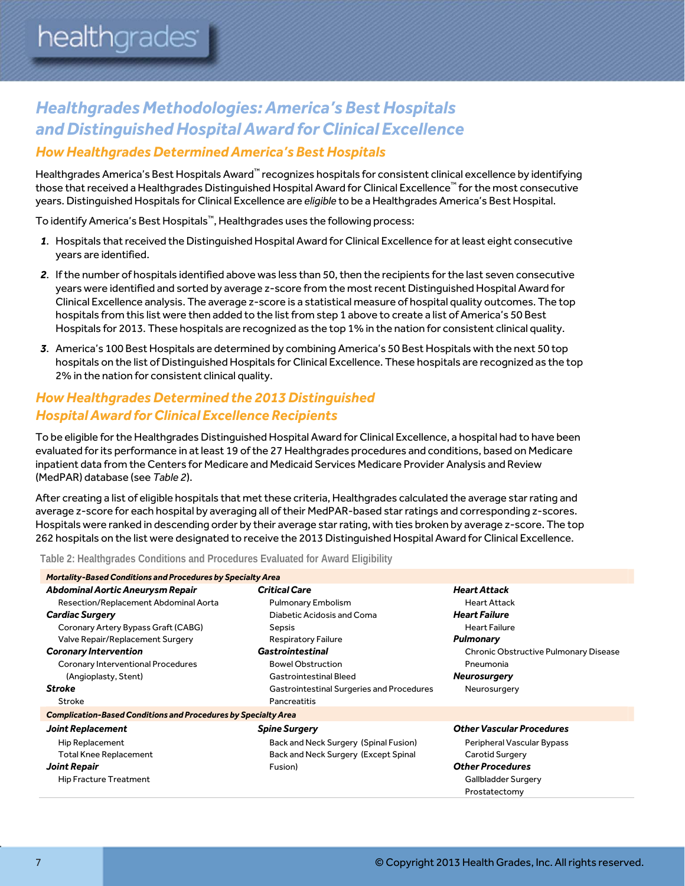# *Healthgrades Methodologies: America's Best Hospitals and Distinguished Hospital Award for Clinical Excellence How Healthgrades Determined America's Best Hospitals*

Healthgrades America's Best Hospitals Award™ recognizes hospitals for consistent clinical excellence by identifying those that received a Healthgrades Distinguished Hospital Award for Clinical Excellence™ for the most consecutive years. Distinguished Hospitals for Clinical Excellence are *eligible* to be a Healthgrades America's Best Hospital.

To identify America's Best Hospitals™, Healthgrades uses the following process:

- *1*. Hospitals that received the Distinguished Hospital Award for Clinical Excellence for at least eight consecutive years are identified.
- *2*. If the number of hospitals identified above was less than 50, then the recipients for the last seven consecutive years were identified and sorted by average z-score from the most recent Distinguished Hospital Award for Clinical Excellence analysis. The average z-score is a statistical measure of hospital quality outcomes. The top hospitals from this list were then added to the list from step 1 above to create a list of America's 50 Best Hospitals for 2013. These hospitals are recognized as the top 1% in the nation for consistent clinical quality.
- *3*. America's 100 Best Hospitals are determined by combining America's 50 Best Hospitals with the next 50 top hospitals on the list of Distinguished Hospitals for Clinical Excellence. These hospitals are recognized as the top 2% in the nation for consistent clinical quality.

### *How Healthgrades Determined the 2013 Distinguished Hospital Award for Clinical Excellence Recipients*

To be eligible for the Healthgrades Distinguished Hospital Award for Clinical Excellence, a hospital had to have been evaluated for its performance in at least 19 of the 27 Healthgrades procedures and conditions, based on Medicare inpatient data from the Centers for Medicare and Medicaid Services Medicare Provider Analysis and Review (MedPAR) database (see *Table 2*).

After creating a list of eligible hospitals that met these criteria, Healthgrades calculated the average star rating and average z-score for each hospital by averaging all of their MedPAR-based star ratings and corresponding z-scores. Hospitals were ranked in descending order by their average star rating, with ties broken by average z-score. The top 262 hospitals on the list were designated to receive the 2013 Distinguished Hospital Award for Clinical Excellence.

**Table 2: Healthgrades Conditions and Procedures Evaluated for Award Eligibility** 

| <b>Mortality-Based Conditions and Procedures by Specialty Area</b>    |                                           |                                              |  |
|-----------------------------------------------------------------------|-------------------------------------------|----------------------------------------------|--|
| <b>Abdominal Aortic Aneurysm Repair</b>                               | <b>Critical Care</b>                      | <b>Heart Attack</b>                          |  |
| Resection/Replacement Abdominal Aorta                                 | Pulmonary Embolism                        | <b>Heart Attack</b>                          |  |
| <b>Cardiac Surgery</b>                                                | Diabetic Acidosis and Coma                | <b>Heart Failure</b>                         |  |
| Coronary Artery Bypass Graft (CABG)                                   | Sepsis                                    | <b>Heart Failure</b>                         |  |
| Valve Repair/Replacement Surgery                                      | <b>Respiratory Failure</b>                | Pulmonary                                    |  |
| <b>Coronary Intervention</b>                                          | <b>Gastrointestinal</b>                   | <b>Chronic Obstructive Pulmonary Disease</b> |  |
| Coronary Interventional Procedures                                    | <b>Bowel Obstruction</b>                  | Pneumonia                                    |  |
| (Angioplasty, Stent)                                                  | <b>Gastrointestinal Bleed</b>             | <b>Neurosurgery</b>                          |  |
| <b>Stroke</b>                                                         | Gastrointestinal Surgeries and Procedures | Neurosurgery                                 |  |
| Stroke                                                                | Pancreatitis                              |                                              |  |
| <b>Complication-Based Conditions and Procedures by Specialty Area</b> |                                           |                                              |  |
| <b>Joint Replacement</b>                                              | <b>Spine Surgery</b>                      | <b>Other Vascular Procedures</b>             |  |
| Hip Replacement                                                       | Back and Neck Surgery (Spinal Fusion)     | Peripheral Vascular Bypass                   |  |
| <b>Total Knee Replacement</b>                                         | Back and Neck Surgery (Except Spinal      | Carotid Surgery                              |  |
| <b>Joint Repair</b>                                                   | Fusion)                                   | <b>Other Procedures</b>                      |  |
| <b>Hip Fracture Treatment</b>                                         |                                           | Gallbladder Surgery                          |  |
|                                                                       |                                           | Prostatectomy                                |  |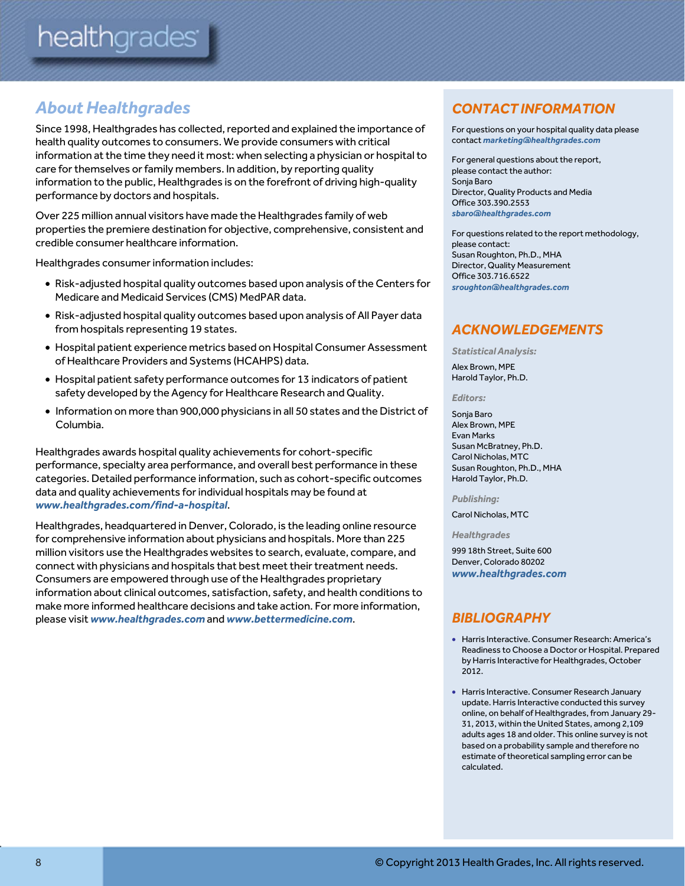# *About Healthgrades*

Since 1998, Healthgrades has collected, reported and explained the importance of health quality outcomes to consumers. We provide consumers with critical information at the time they need it most: when selecting a physician or hospital to care for themselves or family members. In addition, by reporting quality information to the public, Healthgrades is on the forefront of driving high-quality performance by doctors and hospitals.

Over 225 million annual visitors have made the Healthgrades family of web properties the premiere destination for objective, comprehensive, consistent and credible consumer healthcare information.

Healthgrades consumer information includes:

- Risk-adjusted hospital quality outcomes based upon analysis of the Centers for Medicare and Medicaid Services (CMS) MedPAR data.
- Risk-adjusted hospital quality outcomes based upon analysis of All Payer data from hospitals representing 19 states.
- Hospital patient experience metrics based on Hospital Consumer Assessment of Healthcare Providers and Systems (HCAHPS) data.
- Hospital patient safety performance outcomes for 13 indicators of patient safety developed by the Agency for Healthcare Research and Quality.
- $\bullet$  Information on more than 900,000 physicians in all 50 states and the District of Columbia.

Healthgrades awards hospital quality achievements for cohort-specific performance, specialty area performance, and overall best performance in these categories. Detailed performance information, such as cohort-specific outcomes data and quality achievements for individual hospitals may be found at *www.healthgrades.com/find-a-hospital*.

Healthgrades, headquartered in Denver, Colorado, is the leading online resource for comprehensive information about physicians and hospitals. More than 225 million visitors use the Healthgrades websites to search, evaluate, compare, and connect with physicians and hospitals that best meet their treatment needs. Consumers are empowered through use of the Healthgrades proprietary information about clinical outcomes, satisfaction, safety, and health conditions to make more informed healthcare decisions and take action. For more information, please visit *www.healthgrades.com* and *www.bettermedicine.com*.

# *CONTACT INFORMATION*

For questions on your hospital quality data please contact *marketing@healthgrades.com*

For general questions about the report, please contact the author: Sonja Baro Director, Quality Products and Media Office 303.390.2553 *sbaro@healthgrades.com*

For questions related to the report methodology, please contact: Susan Roughton, Ph.D., MHA Director, Quality Measurement Office 303.716.6522 *sroughton@healthgrades.com* 

## *ACKNOWLEDGEMENTS*

*Statistical Analysis:* 

Alex Brown, MPE Harold Taylor, Ph.D.

#### *Editors:*

Sonja Baro Alex Brown, MPE Evan Marks Susan McBratney, Ph.D. Carol Nicholas, MTC Susan Roughton, Ph.D., MHA Harold Taylor, Ph.D.

#### *Publishing:*

Carol Nicholas, MTC

*Healthgrades* 

999 18th Street, Suite 600 Denver, Colorado 80202 *www.healthgrades.com*

#### *BIBLIOGRAPHY*

- Harris Interactive. Consumer Research: America's Readiness to Choose a Doctor or Hospital. Prepared by Harris Interactive for Healthgrades, October 2012.
- Harris Interactive. Consumer Research January update. Harris Interactive conducted this survey online, on behalf of Healthgrades, from January 29- 31, 2013, within the United States, among 2,109 adults ages 18 and older. This online survey is not based on a probability sample and therefore no estimate of theoretical sampling error can be calculated.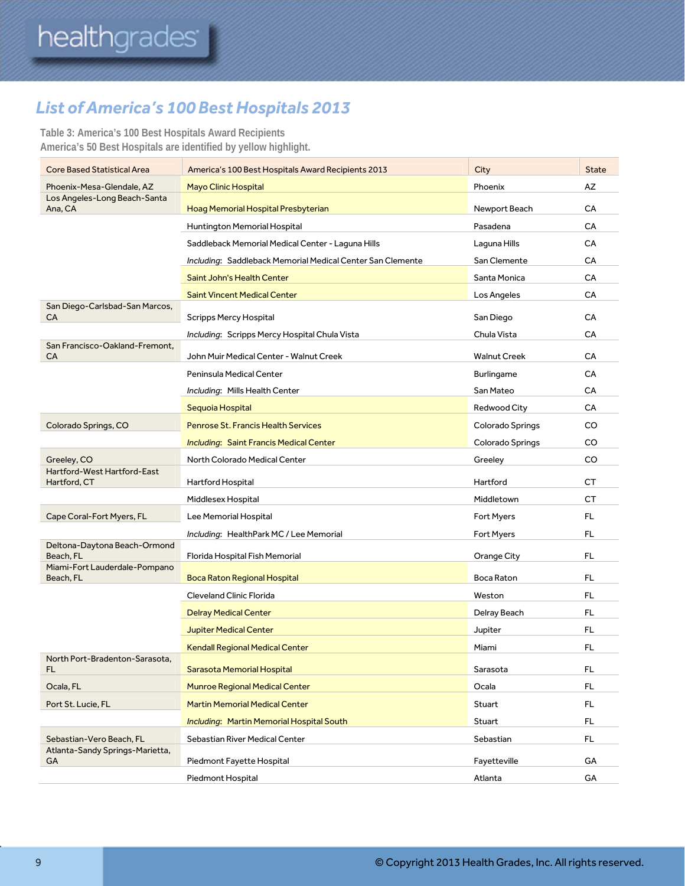# *List of America's 100 Best Hospitals 2013*

**Table 3: America's 100 Best Hospitals Award Recipients America's 50 Best Hospitals are identified by yellow highlight.** 

| <b>Core Based Statistical Area</b>                          | America's 100 Best Hospitals Award Recipients 2013         | City                | <b>State</b> |
|-------------------------------------------------------------|------------------------------------------------------------|---------------------|--------------|
| Phoenix-Mesa-Glendale, AZ                                   | <b>Mayo Clinic Hospital</b>                                | Phoenix             | AZ           |
| Los Angeles-Long Beach-Santa<br>Ana, CA                     | Hoag Memorial Hospital Presbyterian                        | Newport Beach       | CA           |
|                                                             | Huntington Memorial Hospital                               | Pasadena            | CA           |
|                                                             | Saddleback Memorial Medical Center - Laguna Hills          | Laguna Hills        | CA           |
|                                                             | Including: Saddleback Memorial Medical Center San Clemente | San Clemente        | CA           |
|                                                             | Saint John's Health Center                                 | Santa Monica        | CA           |
|                                                             | <b>Saint Vincent Medical Center</b>                        | Los Angeles         | CA           |
| San Diego-Carlsbad-San Marcos,<br>CA                        | <b>Scripps Mercy Hospital</b>                              | San Diego           | CA           |
|                                                             | Including: Scripps Mercy Hospital Chula Vista              | Chula Vista         | CA           |
| San Francisco-Oakland-Fremont,<br>CA                        | John Muir Medical Center - Walnut Creek                    | <b>Walnut Creek</b> | СA           |
|                                                             | Peninsula Medical Center                                   | <b>Burlingame</b>   | CA           |
|                                                             | Including: Mills Health Center                             | San Mateo           | CA           |
|                                                             | Sequoia Hospital                                           | Redwood City        | CA           |
| Colorado Springs, CO                                        | <b>Penrose St. Francis Health Services</b>                 | Colorado Springs    | CO           |
|                                                             | <b>Including: Saint Francis Medical Center</b>             | Colorado Springs    | CO           |
| Greeley, CO                                                 | North Colorado Medical Center                              | Greeley             | CO           |
| Hartford-West Hartford-East<br>Hartford, CT                 | Hartford Hospital                                          | Hartford            | <b>CT</b>    |
|                                                             | Middlesex Hospital                                         | Middletown          | <b>CT</b>    |
| Cape Coral-Fort Myers, FL                                   | Lee Memorial Hospital                                      | Fort Myers          | FL.          |
|                                                             | Including: HealthPark MC / Lee Memorial                    | Fort Myers          | FL           |
| Deltona-Daytona Beach-Ormond<br>Beach, FL                   | Florida Hospital Fish Memorial                             | Orange City         | FL.          |
| Miami-Fort Lauderdale-Pompano<br>Beach, FL                  | <b>Boca Raton Regional Hospital</b>                        | <b>Boca Raton</b>   | <b>FL</b>    |
|                                                             | <b>Cleveland Clinic Florida</b>                            | Weston              | FL           |
|                                                             | <b>Delray Medical Center</b>                               | Delray Beach        | FL.          |
|                                                             | <b>Jupiter Medical Center</b>                              | Jupiter             | FL           |
|                                                             | <b>Kendall Regional Medical Center</b>                     | Miami               | FL           |
| North Port-Bradenton-Sarasota,<br>FL.                       | Sarasota Memorial Hospital                                 | Sarasota            | FL           |
|                                                             |                                                            |                     |              |
| Ocala, FL                                                   | <b>Munroe Regional Medical Center</b>                      | Ocala               | FL.          |
| Port St. Lucie, FL                                          | <b>Martin Memorial Medical Center</b>                      | Stuart              | FL.          |
|                                                             | Including: Martin Memorial Hospital South                  | Stuart              | FL           |
| Sebastian-Vero Beach, FL<br>Atlanta-Sandy Springs-Marietta, | Sebastian River Medical Center                             | Sebastian           | FL.          |
| GA                                                          |                                                            |                     |              |
|                                                             | Piedmont Fayette Hospital                                  | Fayetteville        | GA           |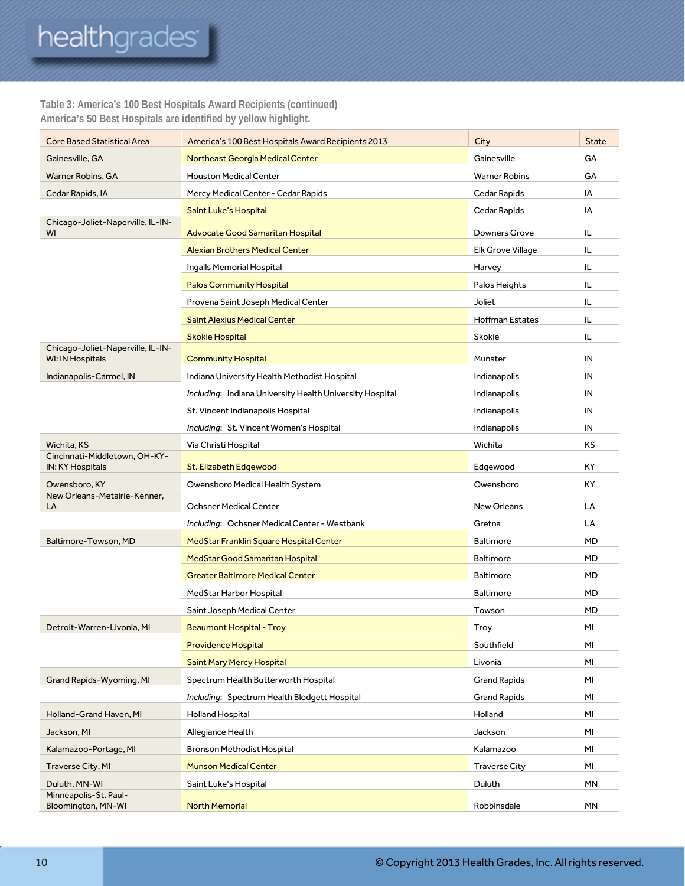# healthgrades<sup>®</sup>

#### **Table 3: America's 100 Best Hospitals Award Recipients (continued) America's 50 Best Hospitals are identified by yellow highlight.**

| GA<br>Gainesville, GA<br><b>Northeast Georgia Medical Center</b><br>Gainesville<br><b>Houston Medical Center</b><br><b>Warner Robins</b><br>GA<br>Warner Robins, GA<br>Mercy Medical Center - Cedar Rapids<br>Cedar Rapids<br>IA<br>Cedar Rapids, IA<br>Cedar Rapids<br>ΙA<br>Saint Luke's Hospital<br>Chicago-Joliet-Naperville, IL-IN-<br>WI<br><b>Advocate Good Samaritan Hospital</b><br><b>Downers Grove</b><br>IL<br><b>Alexian Brothers Medical Center</b><br>Elk Grove Village<br>IL<br>Ingalls Memorial Hospital<br>IL<br>Harvey<br>Palos Heights<br>IL<br><b>Palos Community Hospital</b><br>Provena Saint Joseph Medical Center<br>Joliet<br>IL<br><b>Saint Alexius Medical Center</b><br><b>Hoffman Estates</b><br>IL<br>Skokie<br>IL.<br><b>Skokie Hospital</b><br>Chicago-Joliet-Naperville, IL-IN-<br><b>WI: IN Hospitals</b><br><b>Community Hospital</b><br>IN<br>Munster<br>Indianapolis-Carmel, IN<br>IN<br>Indiana University Health Methodist Hospital<br>Indianapolis<br>Including: Indiana University Health University Hospital<br>Indianapolis<br>IN<br>IN<br>St. Vincent Indianapolis Hospital<br>Indianapolis<br>Including: St. Vincent Women's Hospital<br>IN<br>Indianapolis<br>Wichita, KS<br>Wichita<br>ΚS<br>Via Christi Hospital<br>Cincinnati-Middletown, OH-KY-<br>KY<br>IN: KY Hospitals<br>Edgewood<br>St. Elizabeth Edgewood<br>Owensboro, KY<br>Owensboro Medical Health System<br>Owensboro<br>ΚY<br>New Orleans-Metairie-Kenner,<br><b>Ochsner Medical Center</b><br><b>New Orleans</b><br>LA<br>LA<br>Including: Ochsner Medical Center - Westbank<br>LA<br>Gretna<br>Baltimore-Towson, MD<br>MedStar Franklin Square Hospital Center<br><b>Baltimore</b><br>MD<br>MD<br>MedStar Good Samaritan Hospital<br>Baltimore<br><b>Greater Baltimore Medical Center</b><br><b>Baltimore</b><br>MD<br><b>Baltimore</b><br>MD<br>MedStar Harbor Hospital<br>MD<br>Saint Joseph Medical Center<br>Towson |
|------------------------------------------------------------------------------------------------------------------------------------------------------------------------------------------------------------------------------------------------------------------------------------------------------------------------------------------------------------------------------------------------------------------------------------------------------------------------------------------------------------------------------------------------------------------------------------------------------------------------------------------------------------------------------------------------------------------------------------------------------------------------------------------------------------------------------------------------------------------------------------------------------------------------------------------------------------------------------------------------------------------------------------------------------------------------------------------------------------------------------------------------------------------------------------------------------------------------------------------------------------------------------------------------------------------------------------------------------------------------------------------------------------------------------------------------------------------------------------------------------------------------------------------------------------------------------------------------------------------------------------------------------------------------------------------------------------------------------------------------------------------------------------------------------------------------------------------------------------------------------------------------------------------------------------------|
|                                                                                                                                                                                                                                                                                                                                                                                                                                                                                                                                                                                                                                                                                                                                                                                                                                                                                                                                                                                                                                                                                                                                                                                                                                                                                                                                                                                                                                                                                                                                                                                                                                                                                                                                                                                                                                                                                                                                          |
|                                                                                                                                                                                                                                                                                                                                                                                                                                                                                                                                                                                                                                                                                                                                                                                                                                                                                                                                                                                                                                                                                                                                                                                                                                                                                                                                                                                                                                                                                                                                                                                                                                                                                                                                                                                                                                                                                                                                          |
|                                                                                                                                                                                                                                                                                                                                                                                                                                                                                                                                                                                                                                                                                                                                                                                                                                                                                                                                                                                                                                                                                                                                                                                                                                                                                                                                                                                                                                                                                                                                                                                                                                                                                                                                                                                                                                                                                                                                          |
|                                                                                                                                                                                                                                                                                                                                                                                                                                                                                                                                                                                                                                                                                                                                                                                                                                                                                                                                                                                                                                                                                                                                                                                                                                                                                                                                                                                                                                                                                                                                                                                                                                                                                                                                                                                                                                                                                                                                          |
|                                                                                                                                                                                                                                                                                                                                                                                                                                                                                                                                                                                                                                                                                                                                                                                                                                                                                                                                                                                                                                                                                                                                                                                                                                                                                                                                                                                                                                                                                                                                                                                                                                                                                                                                                                                                                                                                                                                                          |
|                                                                                                                                                                                                                                                                                                                                                                                                                                                                                                                                                                                                                                                                                                                                                                                                                                                                                                                                                                                                                                                                                                                                                                                                                                                                                                                                                                                                                                                                                                                                                                                                                                                                                                                                                                                                                                                                                                                                          |
|                                                                                                                                                                                                                                                                                                                                                                                                                                                                                                                                                                                                                                                                                                                                                                                                                                                                                                                                                                                                                                                                                                                                                                                                                                                                                                                                                                                                                                                                                                                                                                                                                                                                                                                                                                                                                                                                                                                                          |
|                                                                                                                                                                                                                                                                                                                                                                                                                                                                                                                                                                                                                                                                                                                                                                                                                                                                                                                                                                                                                                                                                                                                                                                                                                                                                                                                                                                                                                                                                                                                                                                                                                                                                                                                                                                                                                                                                                                                          |
|                                                                                                                                                                                                                                                                                                                                                                                                                                                                                                                                                                                                                                                                                                                                                                                                                                                                                                                                                                                                                                                                                                                                                                                                                                                                                                                                                                                                                                                                                                                                                                                                                                                                                                                                                                                                                                                                                                                                          |
|                                                                                                                                                                                                                                                                                                                                                                                                                                                                                                                                                                                                                                                                                                                                                                                                                                                                                                                                                                                                                                                                                                                                                                                                                                                                                                                                                                                                                                                                                                                                                                                                                                                                                                                                                                                                                                                                                                                                          |
|                                                                                                                                                                                                                                                                                                                                                                                                                                                                                                                                                                                                                                                                                                                                                                                                                                                                                                                                                                                                                                                                                                                                                                                                                                                                                                                                                                                                                                                                                                                                                                                                                                                                                                                                                                                                                                                                                                                                          |
|                                                                                                                                                                                                                                                                                                                                                                                                                                                                                                                                                                                                                                                                                                                                                                                                                                                                                                                                                                                                                                                                                                                                                                                                                                                                                                                                                                                                                                                                                                                                                                                                                                                                                                                                                                                                                                                                                                                                          |
|                                                                                                                                                                                                                                                                                                                                                                                                                                                                                                                                                                                                                                                                                                                                                                                                                                                                                                                                                                                                                                                                                                                                                                                                                                                                                                                                                                                                                                                                                                                                                                                                                                                                                                                                                                                                                                                                                                                                          |
|                                                                                                                                                                                                                                                                                                                                                                                                                                                                                                                                                                                                                                                                                                                                                                                                                                                                                                                                                                                                                                                                                                                                                                                                                                                                                                                                                                                                                                                                                                                                                                                                                                                                                                                                                                                                                                                                                                                                          |
|                                                                                                                                                                                                                                                                                                                                                                                                                                                                                                                                                                                                                                                                                                                                                                                                                                                                                                                                                                                                                                                                                                                                                                                                                                                                                                                                                                                                                                                                                                                                                                                                                                                                                                                                                                                                                                                                                                                                          |
|                                                                                                                                                                                                                                                                                                                                                                                                                                                                                                                                                                                                                                                                                                                                                                                                                                                                                                                                                                                                                                                                                                                                                                                                                                                                                                                                                                                                                                                                                                                                                                                                                                                                                                                                                                                                                                                                                                                                          |
|                                                                                                                                                                                                                                                                                                                                                                                                                                                                                                                                                                                                                                                                                                                                                                                                                                                                                                                                                                                                                                                                                                                                                                                                                                                                                                                                                                                                                                                                                                                                                                                                                                                                                                                                                                                                                                                                                                                                          |
|                                                                                                                                                                                                                                                                                                                                                                                                                                                                                                                                                                                                                                                                                                                                                                                                                                                                                                                                                                                                                                                                                                                                                                                                                                                                                                                                                                                                                                                                                                                                                                                                                                                                                                                                                                                                                                                                                                                                          |
|                                                                                                                                                                                                                                                                                                                                                                                                                                                                                                                                                                                                                                                                                                                                                                                                                                                                                                                                                                                                                                                                                                                                                                                                                                                                                                                                                                                                                                                                                                                                                                                                                                                                                                                                                                                                                                                                                                                                          |
|                                                                                                                                                                                                                                                                                                                                                                                                                                                                                                                                                                                                                                                                                                                                                                                                                                                                                                                                                                                                                                                                                                                                                                                                                                                                                                                                                                                                                                                                                                                                                                                                                                                                                                                                                                                                                                                                                                                                          |
|                                                                                                                                                                                                                                                                                                                                                                                                                                                                                                                                                                                                                                                                                                                                                                                                                                                                                                                                                                                                                                                                                                                                                                                                                                                                                                                                                                                                                                                                                                                                                                                                                                                                                                                                                                                                                                                                                                                                          |
|                                                                                                                                                                                                                                                                                                                                                                                                                                                                                                                                                                                                                                                                                                                                                                                                                                                                                                                                                                                                                                                                                                                                                                                                                                                                                                                                                                                                                                                                                                                                                                                                                                                                                                                                                                                                                                                                                                                                          |
|                                                                                                                                                                                                                                                                                                                                                                                                                                                                                                                                                                                                                                                                                                                                                                                                                                                                                                                                                                                                                                                                                                                                                                                                                                                                                                                                                                                                                                                                                                                                                                                                                                                                                                                                                                                                                                                                                                                                          |
|                                                                                                                                                                                                                                                                                                                                                                                                                                                                                                                                                                                                                                                                                                                                                                                                                                                                                                                                                                                                                                                                                                                                                                                                                                                                                                                                                                                                                                                                                                                                                                                                                                                                                                                                                                                                                                                                                                                                          |
|                                                                                                                                                                                                                                                                                                                                                                                                                                                                                                                                                                                                                                                                                                                                                                                                                                                                                                                                                                                                                                                                                                                                                                                                                                                                                                                                                                                                                                                                                                                                                                                                                                                                                                                                                                                                                                                                                                                                          |
|                                                                                                                                                                                                                                                                                                                                                                                                                                                                                                                                                                                                                                                                                                                                                                                                                                                                                                                                                                                                                                                                                                                                                                                                                                                                                                                                                                                                                                                                                                                                                                                                                                                                                                                                                                                                                                                                                                                                          |
|                                                                                                                                                                                                                                                                                                                                                                                                                                                                                                                                                                                                                                                                                                                                                                                                                                                                                                                                                                                                                                                                                                                                                                                                                                                                                                                                                                                                                                                                                                                                                                                                                                                                                                                                                                                                                                                                                                                                          |
| ΜI<br><b>Beaumont Hospital - Troy</b><br>Troy<br>Detroit-Warren-Livonia, MI                                                                                                                                                                                                                                                                                                                                                                                                                                                                                                                                                                                                                                                                                                                                                                                                                                                                                                                                                                                                                                                                                                                                                                                                                                                                                                                                                                                                                                                                                                                                                                                                                                                                                                                                                                                                                                                              |
| <b>Providence Hospital</b><br>Southfield<br>MI                                                                                                                                                                                                                                                                                                                                                                                                                                                                                                                                                                                                                                                                                                                                                                                                                                                                                                                                                                                                                                                                                                                                                                                                                                                                                                                                                                                                                                                                                                                                                                                                                                                                                                                                                                                                                                                                                           |
| <b>Saint Mary Mercy Hospital</b><br>Livonia<br>MI                                                                                                                                                                                                                                                                                                                                                                                                                                                                                                                                                                                                                                                                                                                                                                                                                                                                                                                                                                                                                                                                                                                                                                                                                                                                                                                                                                                                                                                                                                                                                                                                                                                                                                                                                                                                                                                                                        |
| Grand Rapids-Wyoming, MI<br>Spectrum Health Butterworth Hospital<br><b>Grand Rapids</b><br>ΜI                                                                                                                                                                                                                                                                                                                                                                                                                                                                                                                                                                                                                                                                                                                                                                                                                                                                                                                                                                                                                                                                                                                                                                                                                                                                                                                                                                                                                                                                                                                                                                                                                                                                                                                                                                                                                                            |
| Including: Spectrum Health Blodgett Hospital<br><b>Grand Rapids</b><br>ΜI                                                                                                                                                                                                                                                                                                                                                                                                                                                                                                                                                                                                                                                                                                                                                                                                                                                                                                                                                                                                                                                                                                                                                                                                                                                                                                                                                                                                                                                                                                                                                                                                                                                                                                                                                                                                                                                                |
| Holland-Grand Haven, MI<br>Holland<br>ΜI<br><b>Holland Hospital</b>                                                                                                                                                                                                                                                                                                                                                                                                                                                                                                                                                                                                                                                                                                                                                                                                                                                                                                                                                                                                                                                                                                                                                                                                                                                                                                                                                                                                                                                                                                                                                                                                                                                                                                                                                                                                                                                                      |
| Jackson, MI<br>Allegiance Health<br>Jackson<br>ΜI                                                                                                                                                                                                                                                                                                                                                                                                                                                                                                                                                                                                                                                                                                                                                                                                                                                                                                                                                                                                                                                                                                                                                                                                                                                                                                                                                                                                                                                                                                                                                                                                                                                                                                                                                                                                                                                                                        |
| Kalamazoo-Portage, MI<br>Bronson Methodist Hospital<br>Kalamazoo<br>ΜI                                                                                                                                                                                                                                                                                                                                                                                                                                                                                                                                                                                                                                                                                                                                                                                                                                                                                                                                                                                                                                                                                                                                                                                                                                                                                                                                                                                                                                                                                                                                                                                                                                                                                                                                                                                                                                                                   |
| <b>Traverse City</b><br>ΜI<br>Traverse City, MI<br><b>Munson Medical Center</b>                                                                                                                                                                                                                                                                                                                                                                                                                                                                                                                                                                                                                                                                                                                                                                                                                                                                                                                                                                                                                                                                                                                                                                                                                                                                                                                                                                                                                                                                                                                                                                                                                                                                                                                                                                                                                                                          |
| Duluth, MN-WI<br>Duluth<br>MN<br>Saint Luke's Hospital                                                                                                                                                                                                                                                                                                                                                                                                                                                                                                                                                                                                                                                                                                                                                                                                                                                                                                                                                                                                                                                                                                                                                                                                                                                                                                                                                                                                                                                                                                                                                                                                                                                                                                                                                                                                                                                                                   |
| Minneapolis-St. Paul-<br>MN<br>Bloomington, MN-WI<br><b>North Memorial</b><br>Robbinsdale                                                                                                                                                                                                                                                                                                                                                                                                                                                                                                                                                                                                                                                                                                                                                                                                                                                                                                                                                                                                                                                                                                                                                                                                                                                                                                                                                                                                                                                                                                                                                                                                                                                                                                                                                                                                                                                |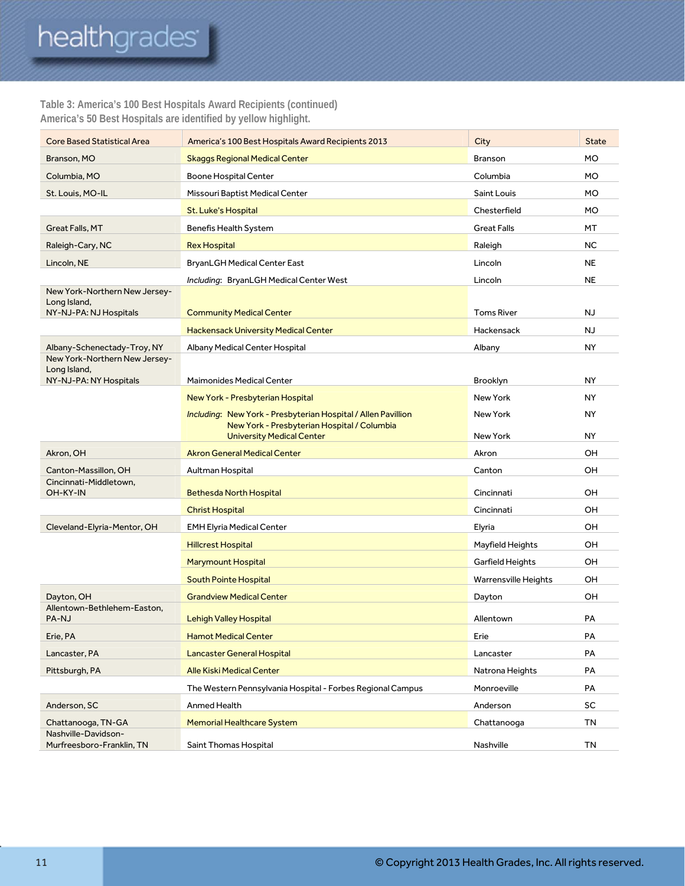# healthgrades<sup>®</sup>

#### **Table 3: America's 100 Best Hospitals Award Recipients (continued) America's 50 Best Hospitals are identified by yellow highlight.**

| <b>Core Based Statistical Area</b>                                      | America's 100 Best Hospitals Award Recipients 2013                                                                                               | City                        | <b>State</b>    |
|-------------------------------------------------------------------------|--------------------------------------------------------------------------------------------------------------------------------------------------|-----------------------------|-----------------|
| Branson, MO                                                             | <b>Skaggs Regional Medical Center</b>                                                                                                            | <b>Branson</b>              | <b>MO</b>       |
| Columbia, MO                                                            | <b>Boone Hospital Center</b>                                                                                                                     | Columbia                    | <b>MO</b>       |
| St. Louis, MO-IL                                                        | Missouri Baptist Medical Center                                                                                                                  | Saint Louis                 | <b>MO</b>       |
|                                                                         | <b>St. Luke's Hospital</b>                                                                                                                       | Chesterfield                | <b>MO</b>       |
| Great Falls, MT                                                         | Benefis Health System                                                                                                                            | <b>Great Falls</b>          | MT              |
| Raleigh-Cary, NC                                                        | <b>Rex Hospital</b>                                                                                                                              | Raleigh                     | <b>NC</b>       |
| Lincoln, NE                                                             | <b>BryanLGH Medical Center East</b>                                                                                                              | Lincoln                     | <b>NE</b>       |
|                                                                         | Including: BryanLGH Medical Center West                                                                                                          | Lincoln                     | <b>NE</b>       |
| New York-Northern New Jersey-<br>Long Island,<br>NY-NJ-PA: NJ Hospitals | <b>Community Medical Center</b>                                                                                                                  | <b>Toms River</b>           | NJ              |
|                                                                         | <b>Hackensack University Medical Center</b>                                                                                                      | Hackensack                  | <b>NJ</b>       |
| Albany-Schenectady-Troy, NY                                             | Albany Medical Center Hospital                                                                                                                   | Albany                      | <b>NY</b>       |
| New York-Northern New Jersey-<br>Long Island,                           |                                                                                                                                                  |                             |                 |
| NY-NJ-PA: NY Hospitals                                                  | <b>Maimonides Medical Center</b>                                                                                                                 | Brooklyn                    | <b>NY</b>       |
|                                                                         | New York - Presbyterian Hospital                                                                                                                 | New York                    | <b>NY</b>       |
|                                                                         | Including: New York - Presbyterian Hospital / Allen Pavillion<br>New York - Presbyterian Hospital / Columbia<br><b>University Medical Center</b> | New York<br>New York        | NY<br><b>NY</b> |
| Akron, OH                                                               | <b>Akron General Medical Center</b>                                                                                                              | Akron                       | OH              |
| Canton-Massillon, OH                                                    | Aultman Hospital                                                                                                                                 | Canton                      | OH              |
| Cincinnati-Middletown,                                                  |                                                                                                                                                  |                             |                 |
| OH-KY-IN                                                                | <b>Bethesda North Hospital</b>                                                                                                                   | Cincinnati                  | OH              |
|                                                                         | <b>Christ Hospital</b>                                                                                                                           | Cincinnati                  | OH              |
| Cleveland-Elyria-Mentor, OH                                             | <b>EMH Elyria Medical Center</b>                                                                                                                 | Elyria                      | OH              |
|                                                                         | <b>Hillcrest Hospital</b>                                                                                                                        | Mayfield Heights            | OH              |
|                                                                         | <b>Marymount Hospital</b>                                                                                                                        | Garfield Heights            | OН              |
|                                                                         | South Pointe Hospital                                                                                                                            | <b>Warrensville Heights</b> | OH.             |
| Dayton, OH                                                              | <b>Grandview Medical Center</b>                                                                                                                  | Dayton                      | OH              |
| Allentown-Bethlehem-Easton,<br>PA-NJ                                    | <b>Lehigh Valley Hospital</b>                                                                                                                    | Allentown                   | PA              |
| Erie, PA                                                                | <b>Hamot Medical Center</b>                                                                                                                      | Erie                        | PA              |
| Lancaster, PA                                                           | <b>Lancaster General Hospital</b>                                                                                                                | Lancaster                   | PA              |
| Pittsburgh, PA                                                          | <b>Alle Kiski Medical Center</b>                                                                                                                 | Natrona Heights             | PA              |
|                                                                         | The Western Pennsylvania Hospital - Forbes Regional Campus                                                                                       | Monroeville                 | PA              |
| Anderson, SC                                                            | Anmed Health                                                                                                                                     | Anderson                    | SC              |
| Chattanooga, TN-GA                                                      | <b>Memorial Healthcare System</b>                                                                                                                | Chattanooga                 | TN              |
| Nashville-Davidson-<br>Murfreesboro-Franklin, TN                        | Saint Thomas Hospital                                                                                                                            | Nashville                   | TN              |